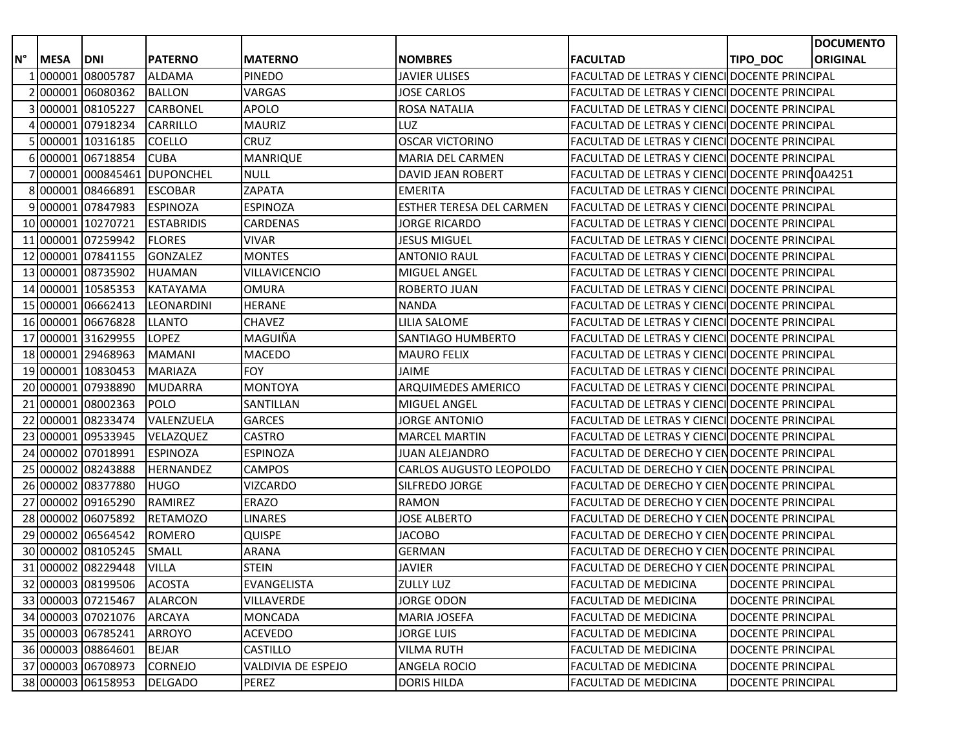|    |             |                    |                           |                    |                                 |                                                      |                   | <b>DOCUMENTO</b> |
|----|-------------|--------------------|---------------------------|--------------------|---------------------------------|------------------------------------------------------|-------------------|------------------|
| N° | <b>MESA</b> | <b>DNI</b>         | <b>PATERNO</b>            | <b>MATERNO</b>     | <b>NOMBRES</b>                  | <b>FACULTAD</b>                                      | TIPO_DOC          | <b>ORIGINAL</b>  |
|    |             | 000001 08005787    | <b>ALDAMA</b>             | <b>PINEDO</b>      | JAVIER ULISES                   | FACULTAD DE LETRAS Y CIENCI DOCENTE PRINCIPAL        |                   |                  |
|    |             | 2 000001 06080362  | <b>BALLON</b>             | VARGAS             | <b>JOSE CARLOS</b>              | FACULTAD DE LETRAS Y CIENCI DOCENTE PRINCIPAL        |                   |                  |
|    |             | 300000108105227    | <b>CARBONEL</b>           | <b>APOLO</b>       | <b>ROSA NATALIA</b>             | FACULTAD DE LETRAS Y CIENCI DOCENTE PRINCIPAL        |                   |                  |
|    |             | 000001 07918234    | <b>CARRILLO</b>           | <b>MAURIZ</b>      | LUZ                             | FACULTAD DE LETRAS Y CIENCI DOCENTE PRINCIPAL        |                   |                  |
|    |             | 5 000001 10316185  | <b>COELLO</b>             | <b>CRUZ</b>        | <b>OSCAR VICTORINO</b>          | FACULTAD DE LETRAS Y CIENCI DOCENTE PRINCIPAL        |                   |                  |
|    |             | 600000106718854    | <b>CUBA</b>               | <b>MANRIQUE</b>    | MARIA DEL CARMEN                | FACULTAD DE LETRAS Y CIENCI DOCENTE PRINCIPAL        |                   |                  |
|    |             |                    | 70000010008454610UPONCHEL | <b>NULL</b>        | DAVID JEAN ROBERT               | FACULTAD DE LETRAS Y CIENCI DOCENTE PRINC 0A4251     |                   |                  |
|    |             | 800000108466891    | <b>ESCOBAR</b>            | <b>ZAPATA</b>      | <b>EMERITA</b>                  | <b>FACULTAD DE LETRAS Y CIENCI DOCENTE PRINCIPAL</b> |                   |                  |
|    |             | 900000107847983    | <b>ESPINOZA</b>           | <b>ESPINOZA</b>    | <b>ESTHER TERESA DEL CARMEN</b> | FACULTAD DE LETRAS Y CIENCI DOCENTE PRINCIPAL        |                   |                  |
|    |             | 10 000001 10270721 | <b>ESTABRIDIS</b>         | <b>CARDENAS</b>    | JORGE RICARDO                   | FACULTAD DE LETRAS Y CIENCI DOCENTE PRINCIPAL        |                   |                  |
|    |             | 11 000001 07259942 | <b>FLORES</b>             | <b>VIVAR</b>       | <b>JESUS MIGUEL</b>             | FACULTAD DE LETRAS Y CIENCI DOCENTE PRINCIPAL        |                   |                  |
|    |             | 12 000001 07841155 | <b>GONZALEZ</b>           | <b>MONTES</b>      | ANTONIO RAUL                    | FACULTAD DE LETRAS Y CIENCI DOCENTE PRINCIPAL        |                   |                  |
|    |             | 13 000001 08735902 | <b>HUAMAN</b>             | VILLAVICENCIO      | MIGUEL ANGEL                    | FACULTAD DE LETRAS Y CIENCI DOCENTE PRINCIPAL        |                   |                  |
|    |             | 14 000001 10585353 | KATAYAMA                  | <b>OMURA</b>       | ROBERTO JUAN                    | FACULTAD DE LETRAS Y CIENCI DOCENTE PRINCIPAL        |                   |                  |
|    |             | 15 000001 06662413 | <b>LEONARDINI</b>         | <b>HERANE</b>      | <b>NANDA</b>                    | FACULTAD DE LETRAS Y CIENCI DOCENTE PRINCIPAL        |                   |                  |
|    |             | 16 000001 06676828 | <b>LLANTO</b>             | <b>CHAVEZ</b>      | LILIA SALOME                    | FACULTAD DE LETRAS Y CIENCI DOCENTE PRINCIPAL        |                   |                  |
|    |             | 17 000001 31629955 | <b>LOPEZ</b>              | MAGUIÑA            | SANTIAGO HUMBERTO               | <b>FACULTAD DE LETRAS Y CIENCI DOCENTE PRINCIPAL</b> |                   |                  |
|    |             | 18 000001 29468963 | <b>MAMANI</b>             | <b>MACEDO</b>      | <b>MAURO FELIX</b>              | <b>FACULTAD DE LETRAS Y CIENCI DOCENTE PRINCIPAL</b> |                   |                  |
|    |             | 19 000001 10830453 | <b>MARIAZA</b>            | <b>FOY</b>         | JAIME                           | FACULTAD DE LETRAS Y CIENCI DOCENTE PRINCIPAL        |                   |                  |
|    |             | 20 000001 07938890 | <b>MUDARRA</b>            | <b>MONTOYA</b>     | ARQUIMEDES AMERICO              | FACULTAD DE LETRAS Y CIENCI DOCENTE PRINCIPAL        |                   |                  |
|    |             | 21 000001 08002363 | <b>POLO</b>               | SANTILLAN          | MIGUEL ANGEL                    | FACULTAD DE LETRAS Y CIENCI DOCENTE PRINCIPAL        |                   |                  |
|    |             | 22 000001 08233474 | VALENZUELA                | <b>GARCES</b>      | JORGE ANTONIO                   | FACULTAD DE LETRAS Y CIENCI DOCENTE PRINCIPAL        |                   |                  |
|    |             | 23 000001 09533945 | VELAZQUEZ                 | <b>CASTRO</b>      | <b>MARCEL MARTIN</b>            | FACULTAD DE LETRAS Y CIENCI DOCENTE PRINCIPAL        |                   |                  |
|    |             | 24 000002 07018991 | <b>ESPINOZA</b>           | <b>ESPINOZA</b>    | JUAN ALEJANDRO                  | FACULTAD DE DERECHO Y CIEN DOCENTE PRINCIPAL         |                   |                  |
|    |             | 25 000002 08243888 | <b>HERNANDEZ</b>          | <b>CAMPOS</b>      | CARLOS AUGUSTO LEOPOLDO         | FACULTAD DE DERECHO Y CIENDOCENTE PRINCIPAL          |                   |                  |
|    |             | 26 000002 08377880 | <b>HUGO</b>               | <b>VIZCARDO</b>    | SILFREDO JORGE                  | FACULTAD DE DERECHO Y CIEN DOCENTE PRINCIPAL         |                   |                  |
|    |             | 27 000002 09165290 | RAMIREZ                   | ERAZO              | RAMON                           | FACULTAD DE DERECHO Y CIENDOCENTE PRINCIPAL          |                   |                  |
|    |             | 28 000002 06075892 | <b>RETAMOZO</b>           | <b>LINARES</b>     | <b>JOSE ALBERTO</b>             | FACULTAD DE DERECHO Y CIEN DOCENTE PRINCIPAL         |                   |                  |
|    |             | 29 000002 06564542 | <b>ROMERO</b>             | <b>QUISPE</b>      | JACOBO                          | FACULTAD DE DERECHO Y CIENDOCENTE PRINCIPAL          |                   |                  |
|    |             | 30 000002 08105245 | SMALL                     | <b>ARANA</b>       | <b>GERMAN</b>                   | FACULTAD DE DERECHO Y CIENDOCENTE PRINCIPAL          |                   |                  |
|    |             | 31 000002 08229448 | <b>VILLA</b>              | <b>STEIN</b>       | <b>JAVIER</b>                   | FACULTAD DE DERECHO Y CIEN DOCENTE PRINCIPAL         |                   |                  |
|    |             | 32 000003 08199506 | <b>ACOSTA</b>             | <b>EVANGELISTA</b> | <b>ZULLY LUZ</b>                | FACULTAD DE MEDICINA                                 | DOCENTE PRINCIPAL |                  |
|    |             | 33 000003 07215467 | <b>ALARCON</b>            | VILLAVERDE         | JORGE ODON                      | FACULTAD DE MEDICINA                                 | DOCENTE PRINCIPAL |                  |
|    |             | 34 000003 07021076 | ARCAYA                    | <b>MONCADA</b>     | <b>MARIA JOSEFA</b>             | <b>FACULTAD DE MEDICINA</b>                          | DOCENTE PRINCIPAL |                  |
|    |             | 35 000003 06785241 | <b>ARROYO</b>             | <b>ACEVEDO</b>     | JORGE LUIS                      | <b>FACULTAD DE MEDICINA</b>                          | DOCENTE PRINCIPAL |                  |
|    |             | 36 000003 08864601 | <b>BEJAR</b>              | <b>CASTILLO</b>    | <b>VILMA RUTH</b>               | <b>FACULTAD DE MEDICINA</b>                          | DOCENTE PRINCIPAL |                  |
|    |             | 37 000003 06708973 | <b>CORNEJO</b>            | VALDIVIA DE ESPEJO | ANGELA ROCIO                    | <b>FACULTAD DE MEDICINA</b>                          | DOCENTE PRINCIPAL |                  |
|    |             | 38 000003 06158953 | <b>DELGADO</b>            | PEREZ              | <b>DORIS HILDA</b>              | FACULTAD DE MEDICINA                                 | DOCENTE PRINCIPAL |                  |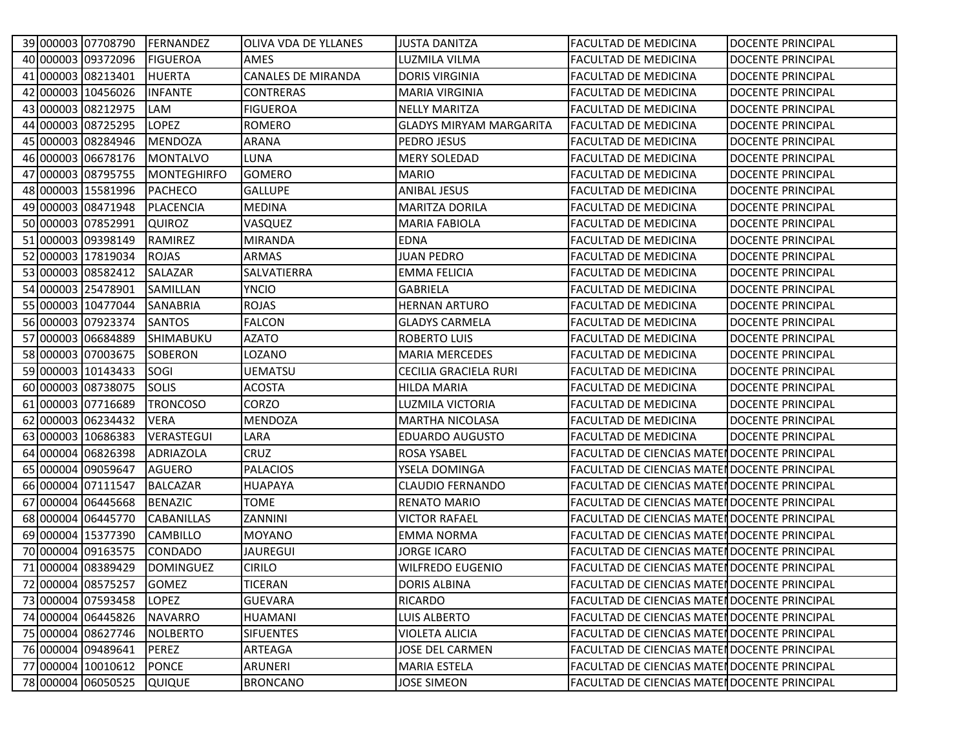|  |                          | 39 000003 07708790 FERNANDEZ | <b>OLIVA VDA DE YLLANES</b> | <b>JUSTA DANITZA</b>           | <b>FACULTAD DE MEDICINA</b>                         | <b>DOCENTE PRINCIPAL</b> |
|--|--------------------------|------------------------------|-----------------------------|--------------------------------|-----------------------------------------------------|--------------------------|
|  | 40 000003 09372096       | <b>FIGUEROA</b>              | AMES                        | LUZMILA VILMA                  | <b>FACULTAD DE MEDICINA</b>                         | DOCENTE PRINCIPAL        |
|  | 41 000003 08213401       | <b>HUERTA</b>                | <b>CANALES DE MIRANDA</b>   | <b>DORIS VIRGINIA</b>          | <b>FACULTAD DE MEDICINA</b>                         | <b>DOCENTE PRINCIPAL</b> |
|  | 42 000003 10456026       | <b>INFANTE</b>               | <b>CONTRERAS</b>            | <b>MARIA VIRGINIA</b>          | <b>FACULTAD DE MEDICINA</b>                         | <b>DOCENTE PRINCIPAL</b> |
|  | 43 000003 08212975       | LAM                          | <b>FIGUEROA</b>             | <b>NELLY MARITZA</b>           | <b>FACULTAD DE MEDICINA</b>                         | DOCENTE PRINCIPAL        |
|  | 44 000003 08725295       | <b>LOPEZ</b>                 | ROMERO                      | <b>GLADYS MIRYAM MARGARITA</b> | <b>FACULTAD DE MEDICINA</b>                         | DOCENTE PRINCIPAL        |
|  | 45 000003 08284946       | <b>MENDOZA</b>               | ARANA                       | PEDRO JESUS                    | <b>FACULTAD DE MEDICINA</b>                         | DOCENTE PRINCIPAL        |
|  | 46 000003 06678176       | <b>MONTALVO</b>              | LUNA                        | <b>MERY SOLEDAD</b>            | <b>FACULTAD DE MEDICINA</b>                         | <b>DOCENTE PRINCIPAL</b> |
|  | 47 000003 08795755       | MONTEGHIRFO                  | <b>GOMERO</b>               | <b>MARIO</b>                   | <b>FACULTAD DE MEDICINA</b>                         | <b>DOCENTE PRINCIPAL</b> |
|  | 48 000003 15581996       | <b>PACHECO</b>               | <b>GALLUPE</b>              | <b>ANIBAL JESUS</b>            | <b>FACULTAD DE MEDICINA</b>                         | <b>DOCENTE PRINCIPAL</b> |
|  | 49 000003 08471948       | <b>PLACENCIA</b>             | <b>MEDINA</b>               | <b>MARITZA DORILA</b>          | <b>FACULTAD DE MEDICINA</b>                         | DOCENTE PRINCIPAL        |
|  | 50 000003 07852991       | <b>QUIROZ</b>                | VASQUEZ                     | <b>MARIA FABIOLA</b>           | <b>FACULTAD DE MEDICINA</b>                         | <b>DOCENTE PRINCIPAL</b> |
|  | 51 000003 09398149       | RAMIREZ                      | <b>MIRANDA</b>              | <b>EDNA</b>                    | <b>FACULTAD DE MEDICINA</b>                         | <b>DOCENTE PRINCIPAL</b> |
|  | 52 000003 17819034       | <b>ROJAS</b>                 | <b>ARMAS</b>                | JUAN PEDRO                     | <b>FACULTAD DE MEDICINA</b>                         | DOCENTE PRINCIPAL        |
|  | 53 000003 08582412       | <b>SALAZAR</b>               | SALVATIERRA                 | <b>EMMA FELICIA</b>            | <b>FACULTAD DE MEDICINA</b>                         | DOCENTE PRINCIPAL        |
|  | 54 000003 25478901       | SAMILLAN                     | <b>YNCIO</b>                | <b>GABRIELA</b>                | <b>FACULTAD DE MEDICINA</b>                         | <b>DOCENTE PRINCIPAL</b> |
|  | 55 000003 10477044       | <b>SANABRIA</b>              | <b>ROJAS</b>                | <b>HERNAN ARTURO</b>           | <b>FACULTAD DE MEDICINA</b>                         | <b>DOCENTE PRINCIPAL</b> |
|  | 56 000003 07923374       | <b>SANTOS</b>                | <b>FALCON</b>               | <b>GLADYS CARMELA</b>          | <b>FACULTAD DE MEDICINA</b>                         | DOCENTE PRINCIPAL        |
|  | 57 000003 06684889       | <b>SHIMABUKU</b>             | AZATO                       | <b>ROBERTO LUIS</b>            | <b>FACULTAD DE MEDICINA</b>                         | DOCENTE PRINCIPAL        |
|  | 58 000003 07003675       | <b>SOBERON</b>               | LOZANO                      | <b>MARIA MERCEDES</b>          | <b>FACULTAD DE MEDICINA</b>                         | <b>DOCENTE PRINCIPAL</b> |
|  | 59 000003 10143433       | SOGI                         | <b>UEMATSU</b>              | CECILIA GRACIELA RURI          | <b>FACULTAD DE MEDICINA</b>                         | <b>DOCENTE PRINCIPAL</b> |
|  | 60 000003 08738075       | <b>SOLIS</b>                 | <b>ACOSTA</b>               | <b>HILDA MARIA</b>             | <b>FACULTAD DE MEDICINA</b>                         | <b>DOCENTE PRINCIPAL</b> |
|  | 61 000003 07716689       | <b>TRONCOSO</b>              | <b>CORZO</b>                | LUZMILA VICTORIA               | <b>FACULTAD DE MEDICINA</b>                         | DOCENTE PRINCIPAL        |
|  | 62 000003 06234432       | <b>VERA</b>                  | <b>MENDOZA</b>              | <b>MARTHA NICOLASA</b>         | <b>FACULTAD DE MEDICINA</b>                         | <b>DOCENTE PRINCIPAL</b> |
|  | 63 000003 10686383       | <b>VERASTEGUI</b>            | LARA                        | <b>EDUARDO AUGUSTO</b>         | <b>FACULTAD DE MEDICINA</b>                         | <b>DOCENTE PRINCIPAL</b> |
|  | 64 000004 06826398       | <b>ADRIAZOLA</b>             | <b>CRUZ</b>                 | ROSA YSABEL                    | <b>FACULTAD DE CIENCIAS MATER DOCENTE PRINCIPAL</b> |                          |
|  | 65 000004 09059647       | <b>AGUERO</b>                | <b>PALACIOS</b>             | YSELA DOMINGA                  | <b>FACULTAD DE CIENCIAS MATER DOCENTE PRINCIPAL</b> |                          |
|  | 66 000004 07111547       | <b>BALCAZAR</b>              | <b>HUAPAYA</b>              | <b>CLAUDIO FERNANDO</b>        | <b>FACULTAD DE CIENCIAS MATER DOCENTE PRINCIPAL</b> |                          |
|  | 67 000004 06445668       | <b>BENAZIC</b>               | <b>TOME</b>                 | <b>RENATO MARIO</b>            | FACULTAD DE CIENCIAS MATER DOCENTE PRINCIPAL        |                          |
|  | 68 000004 06445770       | <b>CABANILLAS</b>            | ZANNINI                     | <b>VICTOR RAFAEL</b>           | <b>FACULTAD DE CIENCIAS MATER DOCENTE PRINCIPAL</b> |                          |
|  | 69 000004 15377390       | <b>CAMBILLO</b>              | <b>MOYANO</b>               | <b>EMMA NORMA</b>              | FACULTAD DE CIENCIAS MATER DOCENTE PRINCIPAL        |                          |
|  | 70 000004 09163575       | <b>CONDADO</b>               | <b>JAUREGUI</b>             | JORGE ICARO                    | <b>FACULTAD DE CIENCIAS MATER DOCENTE PRINCIPAL</b> |                          |
|  | 71 000004 08389429       | <b>DOMINGUEZ</b>             | <b>CIRILO</b>               | <b>WILFREDO EUGENIO</b>        | FACULTAD DE CIENCIAS MATER DOCENTE PRINCIPAL        |                          |
|  | 72 000004 08575257 GOMEZ |                              | <b>TICERAN</b>              | <b>DORIS ALBINA</b>            | FACULTAD DE CIENCIAS MATER DOCENTE PRINCIPAL        |                          |
|  | 73 000004 07593458       | <b>LOPEZ</b>                 | <b>GUEVARA</b>              | RICARDO                        | FACULTAD DE CIENCIAS MATER DOCENTE PRINCIPAL        |                          |
|  | 74 000004 06445826       | <b>NAVARRO</b>               | <b>HUAMANI</b>              | LUIS ALBERTO                   | <b>FACULTAD DE CIENCIAS MATER DOCENTE PRINCIPAL</b> |                          |
|  | 75 000004 08627746       | <b>NOLBERTO</b>              | <b>SIFUENTES</b>            | <b>VIOLETA ALICIA</b>          | FACULTAD DE CIENCIAS MATER DOCENTE PRINCIPAL        |                          |
|  | 76 000004 09489641       | PEREZ                        | ARTEAGA                     | JOSE DEL CARMEN                | FACULTAD DE CIENCIAS MATER DOCENTE PRINCIPAL        |                          |
|  | 77 000004 10010612       | <b>PONCE</b>                 | ARUNERI                     | MARIA ESTELA                   | FACULTAD DE CIENCIAS MATER DOCENTE PRINCIPAL        |                          |
|  | 78 000004 06050525       | QUIQUE                       | <b>BRONCANO</b>             | <b>JOSE SIMEON</b>             | FACULTAD DE CIENCIAS MATER DOCENTE PRINCIPAL        |                          |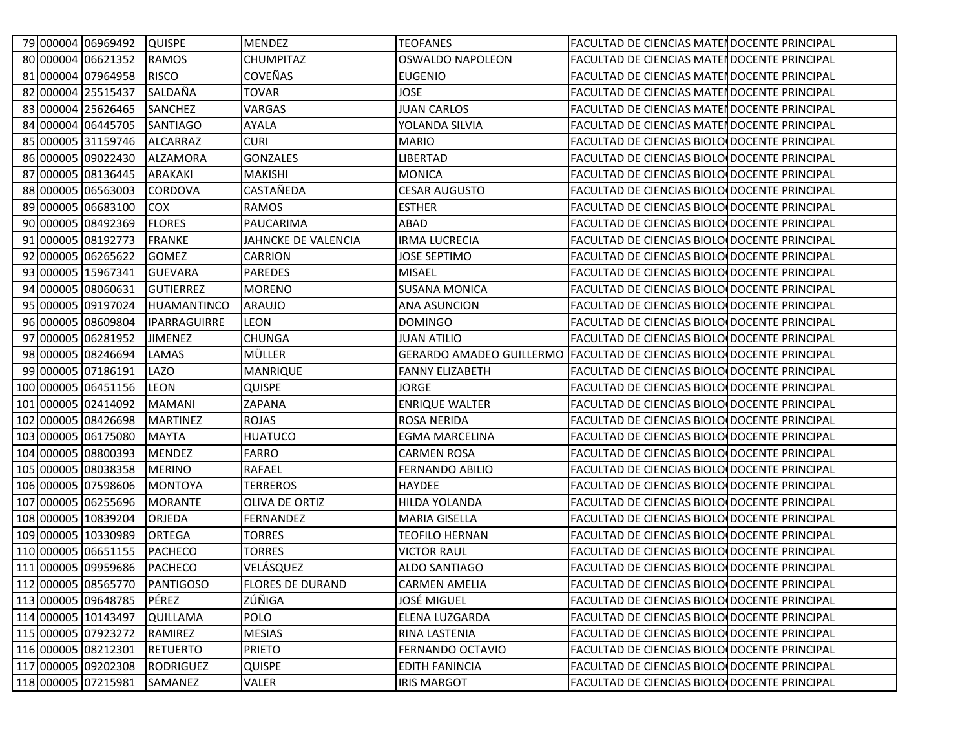|  | 79 000004 06969492  | <b>QUISPE</b>       | <b>MENDEZ</b>           | <b>TEOFANES</b>         | <b>FACULTAD DE CIENCIAS MATENDOCENTE PRINCIPAL</b>                    |  |
|--|---------------------|---------------------|-------------------------|-------------------------|-----------------------------------------------------------------------|--|
|  | 80 000004 06621352  | <b>RAMOS</b>        | <b>CHUMPITAZ</b>        | <b>OSWALDO NAPOLEON</b> | <b>FACULTAD DE CIENCIAS MATENDOCENTE PRINCIPAL</b>                    |  |
|  | 81 000004 07964958  | <b>RISCO</b>        | <b>COVEÑAS</b>          | <b>EUGENIO</b>          | FACULTAD DE CIENCIAS MATERDOCENTE PRINCIPAL                           |  |
|  | 82 000004 25515437  | SALDAÑA             | <b>TOVAR</b>            | <b>JOSE</b>             | FACULTAD DE CIENCIAS MATER DOCENTE PRINCIPAL                          |  |
|  | 83 000004 25626465  | <b>SANCHEZ</b>      | <b>VARGAS</b>           | <b>JUAN CARLOS</b>      | <b>FACULTAD DE CIENCIAS MATER DOCENTE PRINCIPAL</b>                   |  |
|  | 84 000004 06445705  | <b>SANTIAGO</b>     | AYALA                   | YOLANDA SILVIA          | FACULTAD DE CIENCIAS MATELLOOCENTE PRINCIPAL                          |  |
|  | 85 000005 31159746  | <b>ALCARRAZ</b>     | <b>CURI</b>             | <b>MARIO</b>            | FACULTAD DE CIENCIAS BIOLO DOCENTE PRINCIPAL                          |  |
|  | 86 000005 09022430  | <b>ALZAMORA</b>     | <b>GONZALES</b>         | LIBERTAD                | FACULTAD DE CIENCIAS BIOLO DOCENTE PRINCIPAL                          |  |
|  | 87 000005 08136445  | <b>ARAKAKI</b>      | <b>MAKISHI</b>          | <b>MONICA</b>           | <b>FACULTAD DE CIENCIAS BIOLO DOCENTE PRINCIPAL</b>                   |  |
|  | 88 000005 06563003  | <b>CORDOVA</b>      | CASTAÑEDA               | <b>CESAR AUGUSTO</b>    | FACULTAD DE CIENCIAS BIOLO DOCENTE PRINCIPAL                          |  |
|  | 89 000005 06683100  | <b>COX</b>          | <b>RAMOS</b>            | <b>ESTHER</b>           | FACULTAD DE CIENCIAS BIOLO DOCENTE PRINCIPAL                          |  |
|  | 90 000005 08492369  | <b>FLORES</b>       | PAUCARIMA               | ABAD                    | FACULTAD DE CIENCIAS BIOLO DOCENTE PRINCIPAL                          |  |
|  | 91 000005 08192773  | <b>FRANKE</b>       | JAHNCKE DE VALENCIA     | <b>IRMA LUCRECIA</b>    | FACULTAD DE CIENCIAS BIOLO DOCENTE PRINCIPAL                          |  |
|  | 92 000005 06265622  | <b>GOMEZ</b>        | <b>CARRION</b>          | JOSE SEPTIMO            | FACULTAD DE CIENCIAS BIOLO DOCENTE PRINCIPAL                          |  |
|  | 93 000005 15967341  | <b>GUEVARA</b>      | <b>PAREDES</b>          | <b>MISAEL</b>           | FACULTAD DE CIENCIAS BIOLO DOCENTE PRINCIPAL                          |  |
|  | 94 000005 08060631  | <b>GUTIERREZ</b>    | <b>MORENO</b>           | <b>SUSANA MONICA</b>    | FACULTAD DE CIENCIAS BIOLO DOCENTE PRINCIPAL                          |  |
|  | 95 000005 09197024  | HUAMANTINCO         | <b>ARAUJO</b>           | <b>ANA ASUNCION</b>     | FACULTAD DE CIENCIAS BIOLO DOCENTE PRINCIPAL                          |  |
|  | 96 000005 08609804  | <b>IPARRAGUIRRE</b> | LEON                    | <b>DOMINGO</b>          | FACULTAD DE CIENCIAS BIOLO DOCENTE PRINCIPAL                          |  |
|  | 97 000005 06281952  | <b>JIMENEZ</b>      | <b>CHUNGA</b>           | <b>JUAN ATILIO</b>      | FACULTAD DE CIENCIAS BIOLO DOCENTE PRINCIPAL                          |  |
|  | 98 000005 08246694  | LAMAS               | MÜLLER                  |                         | GERARDO AMADEO GUILLERMO FACULTAD DE CIENCIAS BIOLO DOCENTE PRINCIPAL |  |
|  | 99 000005 07186191  | LAZO                | <b>MANRIQUE</b>         | <b>FANNY ELIZABETH</b>  | FACULTAD DE CIENCIAS BIOLO DOCENTE PRINCIPAL                          |  |
|  | 100 000005 06451156 | <b>LEON</b>         | <b>QUISPE</b>           | JORGE                   | FACULTAD DE CIENCIAS BIOLO DOCENTE PRINCIPAL                          |  |
|  | 101 000005 02414092 | <b>MAMANI</b>       | ZAPANA                  | <b>ENRIQUE WALTER</b>   | FACULTAD DE CIENCIAS BIOLO DOCENTE PRINCIPAL                          |  |
|  | 102 000005 08426698 | <b>MARTINEZ</b>     | <b>ROJAS</b>            | <b>ROSA NERIDA</b>      | FACULTAD DE CIENCIAS BIOLO DOCENTE PRINCIPAL                          |  |
|  | 103 000005 06175080 | <b>MAYTA</b>        | <b>HUATUCO</b>          | <b>EGMA MARCELINA</b>   | FACULTAD DE CIENCIAS BIOLO DOCENTE PRINCIPAL                          |  |
|  | 104 000005 08800393 | <b>MENDEZ</b>       | <b>FARRO</b>            | <b>CARMEN ROSA</b>      | FACULTAD DE CIENCIAS BIOLO DOCENTE PRINCIPAL                          |  |
|  | 105 000005 08038358 | <b>MERINO</b>       | <b>RAFAEL</b>           | <b>FERNANDO ABILIO</b>  | FACULTAD DE CIENCIAS BIOLO DOCENTE PRINCIPAL                          |  |
|  | 106 000005 07598606 | <b>MONTOYA</b>      | <b>TERREROS</b>         | HAYDEE                  | FACULTAD DE CIENCIAS BIOLO DOCENTE PRINCIPAL                          |  |
|  | 107 000005 06255696 | <b>MORANTE</b>      | OLIVA DE ORTIZ          | HILDA YOLANDA           | FACULTAD DE CIENCIAS BIOLO DOCENTE PRINCIPAL                          |  |
|  | 108 000005 10839204 | <b>ORJEDA</b>       | FERNANDEZ               | <b>MARIA GISELLA</b>    | FACULTAD DE CIENCIAS BIOLO DOCENTE PRINCIPAL                          |  |
|  | 109 000005 10330989 | <b>ORTEGA</b>       | <b>TORRES</b>           | TEOFILO HERNAN          | FACULTAD DE CIENCIAS BIOLO DOCENTE PRINCIPAL                          |  |
|  | 110 000005 06651155 | <b>PACHECO</b>      | <b>TORRES</b>           | <b>VICTOR RAUL</b>      | <b>FACULTAD DE CIENCIAS BIOLO DOCENTE PRINCIPAL</b>                   |  |
|  | 111 000005 09959686 | <b>PACHECO</b>      | VELÁSQUEZ               | ALDO SANTIAGO           | FACULTAD DE CIENCIAS BIOLO DOCENTE PRINCIPAL                          |  |
|  | 112 000005 08565770 | PANTIGOSO           | <b>FLORES DE DURAND</b> | <b>CARMEN AMELIA</b>    | FACULTAD DE CIENCIAS BIOLO DOCENTE PRINCIPAL                          |  |
|  | 113 000005 09648785 | PÉREZ               | ZÚÑIGA                  | JOSÉ MIGUEL             | FACULTAD DE CIENCIAS BIOLO DOCENTE PRINCIPAL                          |  |
|  | 114 000005 10143497 | <b>QUILLAMA</b>     | <b>POLO</b>             | ELENA LUZGARDA          | FACULTAD DE CIENCIAS BIOLO DOCENTE PRINCIPAL                          |  |
|  | 115 000005 07923272 | RAMIREZ             | <b>MESIAS</b>           | RINA LASTENIA           | FACULTAD DE CIENCIAS BIOLO DOCENTE PRINCIPAL                          |  |
|  | 116 000005 08212301 | <b>RETUERTO</b>     | <b>PRIETO</b>           | FERNANDO OCTAVIO        | FACULTAD DE CIENCIAS BIOLO DOCENTE PRINCIPAL                          |  |
|  | 117 000005 09202308 | <b>RODRIGUEZ</b>    | <b>QUISPE</b>           | <b>EDITH FANINCIA</b>   | FACULTAD DE CIENCIAS BIOLO DOCENTE PRINCIPAL                          |  |
|  | 118 000005 07215981 | SAMANEZ             | VALER                   | <b>IRIS MARGOT</b>      | FACULTAD DE CIENCIAS BIOLO DOCENTE PRINCIPAL                          |  |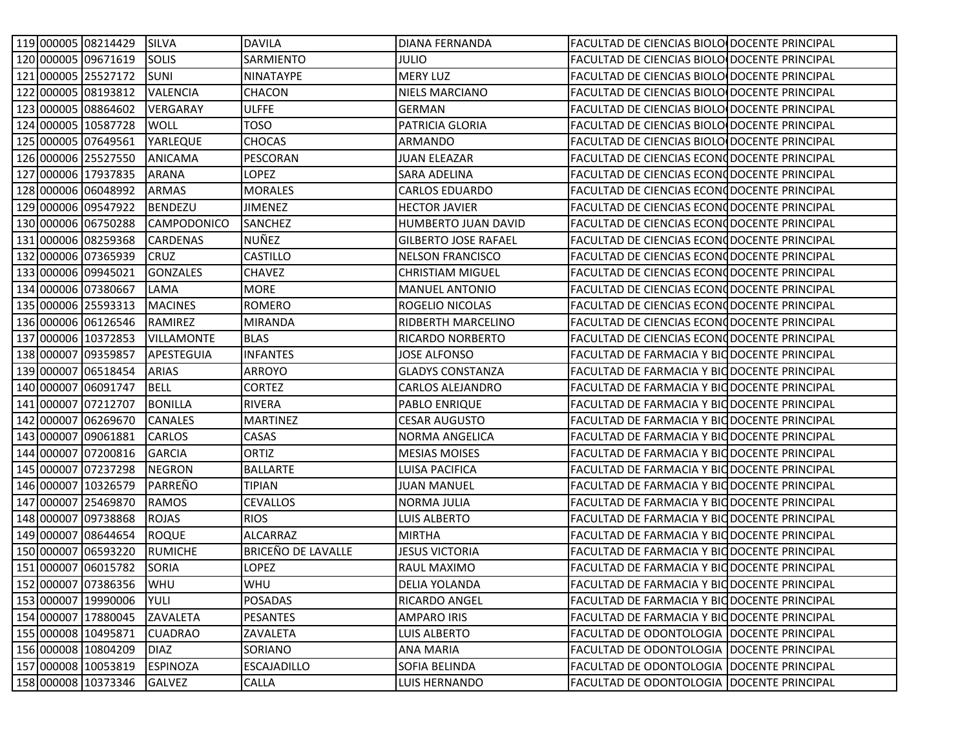|  | 119 000005 08214429     | <b>SILVA</b>       | <b>DAVILA</b>      | <b>DIANA FERNANDA</b>       | FACULTAD DE CIENCIAS BIOLO DOCENTE PRINCIPAL |  |
|--|-------------------------|--------------------|--------------------|-----------------------------|----------------------------------------------|--|
|  | 120 000005 09671619     | <b>SOLIS</b>       | SARMIENTO          | julio                       | FACULTAD DE CIENCIAS BIOLO DOCENTE PRINCIPAL |  |
|  | 121 000005 25527172     | <b>SUNI</b>        | <b>NINATAYPE</b>   | <b>MERY LUZ</b>             | FACULTAD DE CIENCIAS BIOLO DOCENTE PRINCIPAL |  |
|  | 122 000005 08193812     | <b>VALENCIA</b>    | <b>CHACON</b>      | <b>NIELS MARCIANO</b>       | FACULTAD DE CIENCIAS BIOLO DOCENTE PRINCIPAL |  |
|  | 123 000005 08864602     | VERGARAY           | <b>ULFFE</b>       | <b>GERMAN</b>               | FACULTAD DE CIENCIAS BIOLO DOCENTE PRINCIPAL |  |
|  | 124 000005 10587728     | WOLL               | <b>TOSO</b>        | PATRICIA GLORIA             | FACULTAD DE CIENCIAS BIOLO DOCENTE PRINCIPAL |  |
|  | 125 000005 07649561     | YARLEQUE           | <b>CHOCAS</b>      | ARMANDO                     | FACULTAD DE CIENCIAS BIOLO DOCENTE PRINCIPAL |  |
|  | 126 000006 25527550     | <b>ANICAMA</b>     | PESCORAN           | <b>JUAN ELEAZAR</b>         | FACULTAD DE CIENCIAS ECONODOCENTE PRINCIPAL  |  |
|  | 127 000006 17937835     | <b>ARANA</b>       | LOPEZ              | SARA ADELINA                | FACULTAD DE CIENCIAS ECONODOCENTE PRINCIPAL  |  |
|  | 128 000006 06048992     | ARMAS              | <b>MORALES</b>     | <b>CARLOS EDUARDO</b>       | FACULTAD DE CIENCIAS ECONODOCENTE PRINCIPAL  |  |
|  | 129 000006 09547922     | <b>BENDEZU</b>     | <b>JIMENEZ</b>     | <b>HECTOR JAVIER</b>        | FACULTAD DE CIENCIAS ECONODOCENTE PRINCIPAL  |  |
|  | 130 000006 06750288     | <b>CAMPODONICO</b> | <b>SANCHEZ</b>     | HUMBERTO JUAN DAVID         | FACULTAD DE CIENCIAS ECONODOCENTE PRINCIPAL  |  |
|  | 131 000006 08259368     | <b>CARDENAS</b>    | NUÑEZ              | <b>GILBERTO JOSE RAFAEL</b> | FACULTAD DE CIENCIAS ECONODOCENTE PRINCIPAL  |  |
|  | 132 000006 07365939     | <b>CRUZ</b>        | <b>CASTILLO</b>    | <b>NELSON FRANCISCO</b>     | FACULTAD DE CIENCIAS ECONODOCENTE PRINCIPAL  |  |
|  | 133 000006 09945021     | <b>GONZALES</b>    | <b>CHAVEZ</b>      | <b>CHRISTIAM MIGUEL</b>     | FACULTAD DE CIENCIAS ECONODOCENTE PRINCIPAL  |  |
|  | 134 000006 07380667     | LAMA               | <b>MORE</b>        | <b>MANUEL ANTONIO</b>       | FACULTAD DE CIENCIAS ECONODOCENTE PRINCIPAL  |  |
|  | 135 000006 25593313     | <b>MACINES</b>     | <b>ROMERO</b>      | ROGELIO NICOLAS             | FACULTAD DE CIENCIAS ECONODOCENTE PRINCIPAL  |  |
|  | 136 000006 06126546     | RAMIREZ            | <b>MIRANDA</b>     | RIDBERTH MARCELINO          | FACULTAD DE CIENCIAS ECONODOCENTE PRINCIPAL  |  |
|  | 137 000006 10372853     | <b>VILLAMONTE</b>  | <b>BLAS</b>        | RICARDO NORBERTO            | FACULTAD DE CIENCIAS ECONODOCENTE PRINCIPAL  |  |
|  | 138 000007 09359857     | APESTEGUIA         | <b>INFANTES</b>    | JOSE ALFONSO                | FACULTAD DE FARMACIA Y BIO DOCENTE PRINCIPAL |  |
|  | 139 000007 06518454     | <b>ARIAS</b>       | ARROYO             | <b>GLADYS CONSTANZA</b>     | FACULTAD DE FARMACIA Y BIO DOCENTE PRINCIPAL |  |
|  | 140 000007 06091747     | <b>BELL</b>        | <b>CORTEZ</b>      | <b>CARLOS ALEJANDRO</b>     | FACULTAD DE FARMACIA Y BIODOCENTE PRINCIPAL  |  |
|  | 141 000007 07212707     | <b>BONILLA</b>     | <b>RIVERA</b>      | <b>PABLO ENRIQUE</b>        | FACULTAD DE FARMACIA Y BIODOCENTE PRINCIPAL  |  |
|  | 142 000007 06269670     | <b>CANALES</b>     | <b>MARTINEZ</b>    | <b>CESAR AUGUSTO</b>        | FACULTAD DE FARMACIA Y BIO DOCENTE PRINCIPAL |  |
|  | 143 000007 09061881     | CARLOS             | CASAS              | NORMA ANGELICA              | FACULTAD DE FARMACIA Y BIO DOCENTE PRINCIPAL |  |
|  | 144 000007 07200816     | <b>GARCIA</b>      | ORTIZ              | <b>MESIAS MOISES</b>        | FACULTAD DE FARMACIA Y BIO DOCENTE PRINCIPAL |  |
|  | 145 000007 07237298     | <b>NEGRON</b>      | <b>BALLARTE</b>    | LUISA PACIFICA              | FACULTAD DE FARMACIA Y BIODOCENTE PRINCIPAL  |  |
|  | 146 000007 10326579     | PARREÑO            | <b>TIPIAN</b>      | <b>JUAN MANUEL</b>          | FACULTAD DE FARMACIA Y BIO DOCENTE PRINCIPAL |  |
|  | 147 000007 25469870     | <b>RAMOS</b>       | <b>CEVALLOS</b>    | <b>NORMA JULIA</b>          | FACULTAD DE FARMACIA Y BIO DOCENTE PRINCIPAL |  |
|  | 148 000007 09738868     | <b>ROJAS</b>       | <b>RIOS</b>        | LUIS ALBERTO                | FACULTAD DE FARMACIA Y BIODOCENTE PRINCIPAL  |  |
|  | 149 000007 08644654     | <b>ROQUE</b>       | <b>ALCARRAZ</b>    | <b>MIRTHA</b>               | FACULTAD DE FARMACIA Y BIO DOCENTE PRINCIPAL |  |
|  | 150 000007 06593220     | <b>RUMICHE</b>     | BRICEÑO DE LAVALLE | <b>JESUS VICTORIA</b>       | FACULTAD DE FARMACIA Y BIO DOCENTE PRINCIPAL |  |
|  | 151 000007 06015782     | <b>SORIA</b>       | <b>LOPEZ</b>       | RAUL MAXIMO                 | FACULTAD DE FARMACIA Y BIO DOCENTE PRINCIPAL |  |
|  | 152 000007 07386356 WHU |                    | <b>WHU</b>         | <b>DELIA YOLANDA</b>        | FACULTAD DE FARMACIA Y BIO DOCENTE PRINCIPAL |  |
|  | 153 000007 19990006     | YULI               | <b>POSADAS</b>     | RICARDO ANGEL               | FACULTAD DE FARMACIA Y BIO DOCENTE PRINCIPAL |  |
|  | 154 000007 17880045     | ZAVALETA           | PESANTES           | AMPARO IRIS                 | FACULTAD DE FARMACIA Y BIO DOCENTE PRINCIPAL |  |
|  | 155 000008 10495871     | <b>CUADRAO</b>     | ZAVALETA           | LUIS ALBERTO                | FACULTAD DE ODONTOLOGIA   DOCENTE PRINCIPAL  |  |
|  | 156 000008 10804209     | <b>DIAZ</b>        | SORIANO            | <b>ANA MARIA</b>            | FACULTAD DE ODONTOLOGIA   DOCENTE PRINCIPAL  |  |
|  | 157 000008 10053819     | <b>ESPINOZA</b>    | <b>ESCAJADILLO</b> | SOFIA BELINDA               | FACULTAD DE ODONTOLOGIA   DOCENTE PRINCIPAL  |  |
|  | 158 000008 10373346     | <b>GALVEZ</b>      | CALLA              | LUIS HERNANDO               | FACULTAD DE ODONTOLOGIA   DOCENTE PRINCIPAL  |  |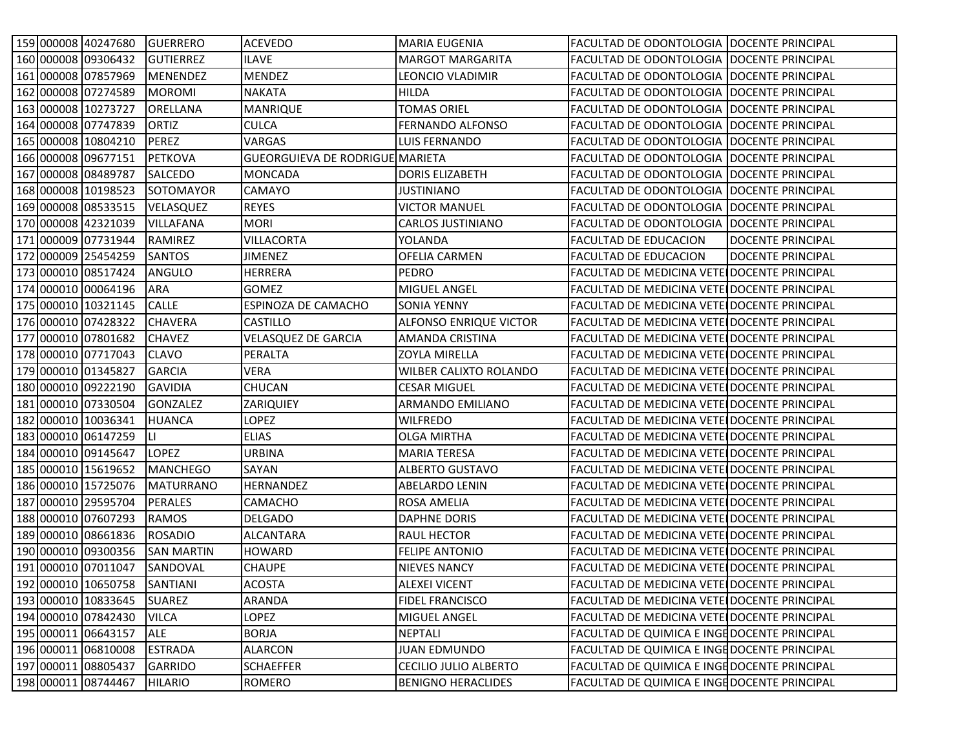|  | 159 000008 40247680 | <b>GUERRERO</b>   | <b>ACEVEDO</b>                  | <b>MARIA EUGENIA</b>          | FACULTAD DE ODONTOLOGIA IDOCENTE PRINCIPAL   |                   |
|--|---------------------|-------------------|---------------------------------|-------------------------------|----------------------------------------------|-------------------|
|  | 160 000008 09306432 | <b>GUTIERREZ</b>  | <b>ILAVE</b>                    | MARGOT MARGARITA              | FACULTAD DE ODONTOLOGIA IDOCENTE PRINCIPAL   |                   |
|  | 161 000008 07857969 | <b>MENENDEZ</b>   | <b>MENDEZ</b>                   | LEONCIO VLADIMIR              | FACULTAD DE ODONTOLOGIA DOCENTE PRINCIPAL    |                   |
|  | 162 000008 07274589 | <b>MOROMI</b>     | <b>NAKATA</b>                   | HILDA                         | FACULTAD DE ODONTOLOGIA   DOCENTE PRINCIPAL  |                   |
|  | 163 000008 10273727 | <b>ORELLANA</b>   | <b>MANRIQUE</b>                 | <b>TOMAS ORIEL</b>            | FACULTAD DE ODONTOLOGIA   DOCENTE PRINCIPAL  |                   |
|  | 164 000008 07747839 | ORTIZ             | <b>CULCA</b>                    | FERNANDO ALFONSO              | FACULTAD DE ODONTOLOGIA   DOCENTE PRINCIPAL  |                   |
|  | 165 000008 10804210 | PEREZ             | <b>VARGAS</b>                   | LUIS FERNANDO                 | FACULTAD DE ODONTOLOGIA IDOCENTE PRINCIPAL   |                   |
|  | 166 000008 09677151 | <b>PETKOVA</b>    | GUEORGUIEVA DE RODRIGUE MARIETA |                               | FACULTAD DE ODONTOLOGIA DOCENTE PRINCIPAL    |                   |
|  | 167 000008 08489787 | <b>SALCEDO</b>    | <b>MONCADA</b>                  | <b>DORIS ELIZABETH</b>        | FACULTAD DE ODONTOLOGIA   DOCENTE PRINCIPAL  |                   |
|  | 168 000008 10198523 | <b>SOTOMAYOR</b>  | CAMAYO                          | JUSTINIANO                    | FACULTAD DE ODONTOLOGIA   DOCENTE PRINCIPAL  |                   |
|  | 169 000008 08533515 | <b>VELASQUEZ</b>  | <b>REYES</b>                    | <b>VICTOR MANUEL</b>          | FACULTAD DE ODONTOLOGIA   DOCENTE PRINCIPAL  |                   |
|  | 170 000008 42321039 | <b>VILLAFANA</b>  | <b>MORI</b>                     | <b>CARLOS JUSTINIANO</b>      | FACULTAD DE ODONTOLOGIA   DOCENTE PRINCIPAL  |                   |
|  | 171 000009 07731944 | RAMIREZ           | <b>VILLACORTA</b>               | YOLANDA                       | <b>FACULTAD DE EDUCACION</b>                 | DOCENTE PRINCIPAL |
|  | 172 000009 25454259 | <b>SANTOS</b>     | <b>JIMENEZ</b>                  | <b>OFELIA CARMEN</b>          | FACULTAD DE EDUCACION                        | DOCENTE PRINCIPAL |
|  | 173 000010 08517424 | ANGULO            | <b>HERRERA</b>                  | <b>PEDRO</b>                  | FACULTAD DE MEDICINA VETE DOCENTE PRINCIPAL  |                   |
|  | 174 000010 00064196 | ARA               | <b>GOMEZ</b>                    | MIGUEL ANGEL                  | FACULTAD DE MEDICINA VETE DOCENTE PRINCIPAL  |                   |
|  | 175 000010 10321145 | <b>CALLE</b>      | ESPINOZA DE CAMACHO             | <b>SONIA YENNY</b>            | FACULTAD DE MEDICINA VETE DOCENTE PRINCIPAL  |                   |
|  | 176 000010 07428322 | <b>CHAVERA</b>    | <b>CASTILLO</b>                 | <b>ALFONSO ENRIQUE VICTOR</b> | FACULTAD DE MEDICINA VETE DOCENTE PRINCIPAL  |                   |
|  | 177 000010 07801682 | <b>CHAVEZ</b>     | <b>VELASQUEZ DE GARCIA</b>      | AMANDA CRISTINA               | FACULTAD DE MEDICINA VETE DOCENTE PRINCIPAL  |                   |
|  | 178 000010 07717043 | <b>CLAVO</b>      | PERALTA                         | <b>ZOYLA MIRELLA</b>          | FACULTAD DE MEDICINA VETE DOCENTE PRINCIPAL  |                   |
|  | 179 000010 01345827 | <b>GARCIA</b>     | VERA                            | <b>WILBER CALIXTO ROLANDO</b> | FACULTAD DE MEDICINA VETE DOCENTE PRINCIPAL  |                   |
|  | 180 000010 09222190 | <b>GAVIDIA</b>    | <b>CHUCAN</b>                   | <b>CESAR MIGUEL</b>           | FACULTAD DE MEDICINA VETE DOCENTE PRINCIPAL  |                   |
|  | 181 000010 07330504 | <b>GONZALEZ</b>   | ZARIQUIEY                       | ARMANDO EMILIANO              | FACULTAD DE MEDICINA VETE DOCENTE PRINCIPAL  |                   |
|  | 182 000010 10036341 | <b>HUANCA</b>     | <b>LOPEZ</b>                    | <b>WILFREDO</b>               | FACULTAD DE MEDICINA VETE DOCENTE PRINCIPAL  |                   |
|  | 183 000010 06147259 | LI.               | <b>ELIAS</b>                    | <b>OLGA MIRTHA</b>            | FACULTAD DE MEDICINA VETE DOCENTE PRINCIPAL  |                   |
|  | 184 000010 09145647 | <b>LOPEZ</b>      | <b>URBINA</b>                   | <b>MARIA TERESA</b>           | FACULTAD DE MEDICINA VETE DOCENTE PRINCIPAL  |                   |
|  | 185 000010 15619652 | <b>MANCHEGO</b>   | SAYAN                           | <b>ALBERTO GUSTAVO</b>        | FACULTAD DE MEDICINA VETE DOCENTE PRINCIPAL  |                   |
|  | 186 000010 15725076 | <b>MATURRANO</b>  | HERNANDEZ                       | ABELARDO LENIN                | FACULTAD DE MEDICINA VETE DOCENTE PRINCIPAL  |                   |
|  | 187 000010 29595704 | <b>PERALES</b>    | CAMACHO                         | ROSA AMELIA                   | FACULTAD DE MEDICINA VETE DOCENTE PRINCIPAL  |                   |
|  | 188 000010 07607293 | <b>RAMOS</b>      | <b>DELGADO</b>                  | DAPHNE DORIS                  | FACULTAD DE MEDICINA VETE DOCENTE PRINCIPAL  |                   |
|  | 189 000010 08661836 | <b>ROSADIO</b>    | <b>ALCANTARA</b>                | <b>RAUL HECTOR</b>            | FACULTAD DE MEDICINA VETE DOCENTE PRINCIPAL  |                   |
|  | 190 000010 09300356 | <b>SAN MARTIN</b> | <b>HOWARD</b>                   | <b>FELIPE ANTONIO</b>         | FACULTAD DE MEDICINA VETE DOCENTE PRINCIPAL  |                   |
|  | 191 000010 07011047 | SANDOVAL          | <b>CHAUPE</b>                   | <b>NIEVES NANCY</b>           | FACULTAD DE MEDICINA VETE DOCENTE PRINCIPAL  |                   |
|  | 192 000010 10650758 | SANTIANI          | <b>ACOSTA</b>                   | <b>ALEXEI VICENT</b>          | FACULTAD DE MEDICINA VETE DOCENTE PRINCIPAL  |                   |
|  | 193 000010 10833645 | <b>SUAREZ</b>     | ARANDA                          | <b>FIDEL FRANCISCO</b>        | FACULTAD DE MEDICINA VETE DOCENTE PRINCIPAL  |                   |
|  | 194 000010 07842430 | <b>VILCA</b>      | LOPEZ                           | MIGUEL ANGEL                  | FACULTAD DE MEDICINA VETE DOCENTE PRINCIPAL  |                   |
|  | 195 000011 06643157 | <b>ALE</b>        | <b>BORJA</b>                    | <b>NEPTALI</b>                | FACULTAD DE QUIMICA E INGE DOCENTE PRINCIPAL |                   |
|  | 196 000011 06810008 | <b>ESTRADA</b>    | <b>ALARCON</b>                  | <b>JUAN EDMUNDO</b>           | FACULTAD DE QUIMICA E INGE DOCENTE PRINCIPAL |                   |
|  | 197 000011 08805437 | <b>GARRIDO</b>    | <b>SCHAEFFER</b>                | CECILIO JULIO ALBERTO         | FACULTAD DE QUIMICA E INGEDOCENTE PRINCIPAL  |                   |
|  | 198 000011 08744467 | <b>HILARIO</b>    | ROMERO                          | <b>BENIGNO HERACLIDES</b>     | FACULTAD DE QUIMICA E INGEDOCENTE PRINCIPAL  |                   |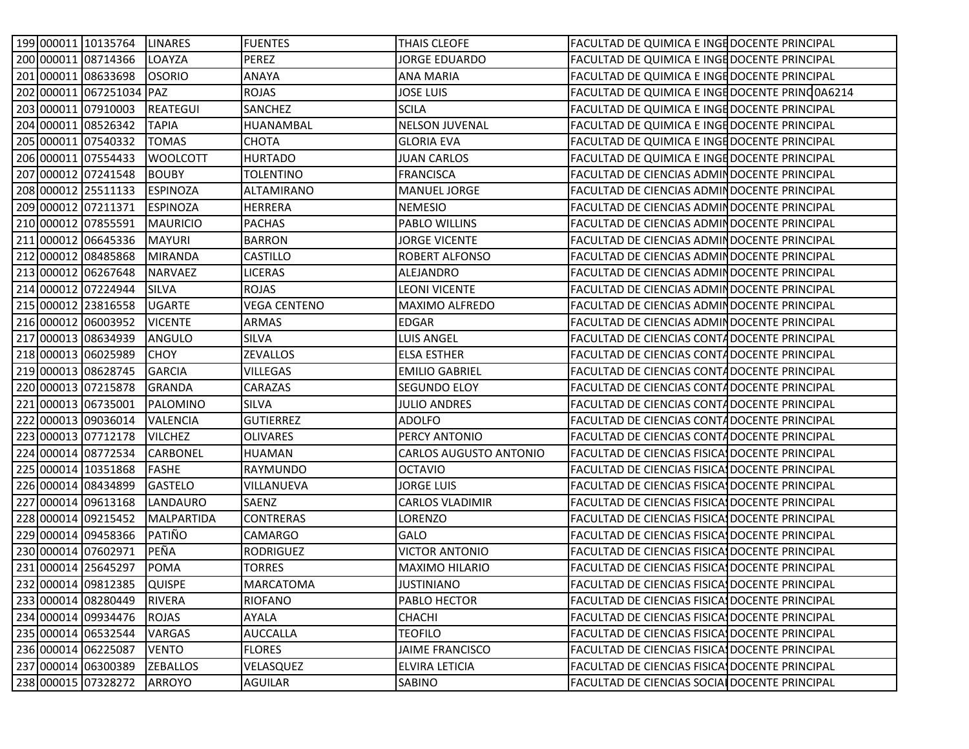|  | 199 000011 10135764        | <b>LINARES</b>    | <b>FUENTES</b>      | <b>THAIS CLEOFE</b>    | FACULTAD DE QUIMICA E INGE DOCENTE PRINCIPAL   |  |
|--|----------------------------|-------------------|---------------------|------------------------|------------------------------------------------|--|
|  | 200 000011 08714366        | LOAYZA            | <b>PEREZ</b>        | JORGE EDUARDO          | FACULTAD DE QUIMICA E INGEDOCENTE PRINCIPAL    |  |
|  | 201 000011 08633698        | <b>OSORIO</b>     | <b>ANAYA</b>        | <b>ANA MARIA</b>       | FACULTAD DE QUIMICA E INGE DOCENTE PRINCIPAL   |  |
|  | 202 000011 067251034 PAZ   |                   | <b>ROJAS</b>        | <b>JOSE LUIS</b>       | FACULTAD DE QUIMICA E INGE DOCENTE PRINC0A6214 |  |
|  | 203 000011 07910003        | <b>REATEGUI</b>   | SANCHEZ             | <b>SCILA</b>           | FACULTAD DE QUIMICA E INGE DOCENTE PRINCIPAL   |  |
|  | 204 000011 08526342        | TAPIA             | HUANAMBAL           | <b>NELSON JUVENAL</b>  | FACULTAD DE QUIMICA E INGEDOCENTE PRINCIPAL    |  |
|  | 205 000011 07540332        | <b>TOMAS</b>      | <b>CHOTA</b>        | <b>GLORIA EVA</b>      | FACULTAD DE QUIMICA E INGEDOCENTE PRINCIPAL    |  |
|  | 206 000011 07554433        | <b>WOOLCOTT</b>   | <b>HURTADO</b>      | <b>JUAN CARLOS</b>     | FACULTAD DE QUIMICA E INGE DOCENTE PRINCIPAL   |  |
|  | 207 000012 07241548        | <b>BOUBY</b>      | <b>TOLENTINO</b>    | <b>FRANCISCA</b>       | FACULTAD DE CIENCIAS ADMINDOCENTE PRINCIPAL    |  |
|  | 208 000012 25511133        | <b>ESPINOZA</b>   | <b>ALTAMIRANO</b>   | <b>MANUEL JORGE</b>    | FACULTAD DE CIENCIAS ADMINDOCENTE PRINCIPAL    |  |
|  | 209 000012 07211371        | <b>ESPINOZA</b>   | <b>HERRERA</b>      | <b>NEMESIO</b>         | FACULTAD DE CIENCIAS ADMIN DOCENTE PRINCIPAL   |  |
|  | 210 000012 07855591        | <b>MAURICIO</b>   | <b>PACHAS</b>       | PABLO WILLINS          | FACULTAD DE CIENCIAS ADMIN DOCENTE PRINCIPAL   |  |
|  | 211 000012 06645336        | <b>MAYURI</b>     | <b>BARRON</b>       | <b>JORGE VICENTE</b>   | FACULTAD DE CIENCIAS ADMIN DOCENTE PRINCIPAL   |  |
|  | 212 000012 08485868        | <b>MIRANDA</b>    | <b>CASTILLO</b>     | <b>ROBERT ALFONSO</b>  | FACULTAD DE CIENCIAS ADMIN DOCENTE PRINCIPAL   |  |
|  | 213 000012 06267648        | NARVAEZ           | <b>LICERAS</b>      | ALEJANDRO              | FACULTAD DE CIENCIAS ADMIN DOCENTE PRINCIPAL   |  |
|  | 214 000012 07224944        | <b>SILVA</b>      | <b>ROJAS</b>        | <b>LEONI VICENTE</b>   | FACULTAD DE CIENCIAS ADMIN DOCENTE PRINCIPAL   |  |
|  | 215 000012 23816558        | <b>UGARTE</b>     | <b>VEGA CENTENO</b> | <b>MAXIMO ALFREDO</b>  | FACULTAD DE CIENCIAS ADMIN DOCENTE PRINCIPAL   |  |
|  | 216 000012 06003952        | <b>VICENTE</b>    | <b>ARMAS</b>        | <b>EDGAR</b>           | FACULTAD DE CIENCIAS ADMIN DOCENTE PRINCIPAL   |  |
|  | 217 000013 08634939        | <b>ANGULO</b>     | <b>SILVA</b>        | LUIS ANGEL             | FACULTAD DE CIENCIAS CONTADOCENTE PRINCIPAL    |  |
|  | 218 000013 06025989        | <b>CHOY</b>       | <b>ZEVALLOS</b>     | <b>ELSA ESTHER</b>     | FACULTAD DE CIENCIAS CONTADOCENTE PRINCIPAL    |  |
|  | 219 000013 08628745        | <b>GARCIA</b>     | <b>VILLEGAS</b>     | <b>EMILIO GABRIEL</b>  | FACULTAD DE CIENCIAS CONTA DOCENTE PRINCIPAL   |  |
|  | 220 000013 07215878        | <b>GRANDA</b>     | CARAZAS             | SEGUNDO ELOY           | FACULTAD DE CIENCIAS CONTADOCENTE PRINCIPAL    |  |
|  | 221 000013 06735001        | PALOMINO          | <b>SILVA</b>        | <b>JULIO ANDRES</b>    | FACULTAD DE CIENCIAS CONTADOCENTE PRINCIPAL    |  |
|  | 222 000013 09036014        | VALENCIA          | <b>GUTIERREZ</b>    | <b>ADOLFO</b>          | FACULTAD DE CIENCIAS CONTADOCENTE PRINCIPAL    |  |
|  | 223 000013 07712178        | <b>VILCHEZ</b>    | <b>OLIVARES</b>     | PERCY ANTONIO          | FACULTAD DE CIENCIAS CONTADOCENTE PRINCIPAL    |  |
|  | 224 000014 08772534        | <b>CARBONEL</b>   | <b>HUAMAN</b>       | CARLOS AUGUSTO ANTONIO | FACULTAD DE CIENCIAS FISICAS DOCENTE PRINCIPAL |  |
|  | 225 000014 10351868        | <b>FASHE</b>      | RAYMUNDO            | <b>OCTAVIO</b>         | FACULTAD DE CIENCIAS FISICAS DOCENTE PRINCIPAL |  |
|  | 226 000014 08434899        | <b>GASTELO</b>    | VILLANUEVA          | JORGE LUIS             | FACULTAD DE CIENCIAS FISICA DOCENTE PRINCIPAL  |  |
|  | 227 000014 09613168        | LANDAURO          | SAENZ               | <b>CARLOS VLADIMIR</b> | FACULTAD DE CIENCIAS FISICA DOCENTE PRINCIPAL  |  |
|  | 228 000014 09215452        | <b>MALPARTIDA</b> | <b>CONTRERAS</b>    | LORENZO                | FACULTAD DE CIENCIAS FISICA DOCENTE PRINCIPAL  |  |
|  | 229 000014 09458366        | PATIÑO            | <b>CAMARGO</b>      | GALO                   | FACULTAD DE CIENCIAS FISICA, DOCENTE PRINCIPAL |  |
|  | 230 000014 07602971        | PEÑA              | <b>RODRIGUEZ</b>    | <b>VICTOR ANTONIO</b>  | FACULTAD DE CIENCIAS FISICAS DOCENTE PRINCIPAL |  |
|  | 231 000014 25645297        | <b>POMA</b>       | <b>TORRES</b>       | MAXIMO HILARIO         | FACULTAD DE CIENCIAS FISICA, DOCENTE PRINCIPAL |  |
|  | 232 000014 09812385 QUISPE |                   | <b>MARCATOMA</b>    | <b>JUSTINIANO</b>      | FACULTAD DE CIENCIAS FISICA DOCENTE PRINCIPAL  |  |
|  | 233 000014 08280449        | RIVERA            | RIOFANO             | PABLO HECTOR           | FACULTAD DE CIENCIAS FISICAS DOCENTE PRINCIPAL |  |
|  | 234 000014 09934476        | ROJAS             | AYALA               | <b>CHACHI</b>          | FACULTAD DE CIENCIAS FISICA DOCENTE PRINCIPAL  |  |
|  | 235 000014 06532544        | VARGAS            | <b>AUCCALLA</b>     | <b>TEOFILO</b>         | FACULTAD DE CIENCIAS FISICA DOCENTE PRINCIPAL  |  |
|  | 236 000014 06225087        | <b>VENTO</b>      | <b>FLORES</b>       | <b>JAIME FRANCISCO</b> | FACULTAD DE CIENCIAS FISICA DOCENTE PRINCIPAL  |  |
|  | 237 000014 06300389        | <b>ZEBALLOS</b>   | VELASQUEZ           | <b>ELVIRA LETICIA</b>  | FACULTAD DE CIENCIAS FISICAS DOCENTE PRINCIPAL |  |
|  | 238 000015 07328272        | <b>ARROYO</b>     | AGUILAR             | SABINO                 | FACULTAD DE CIENCIAS SOCIAL DOCENTE PRINCIPAL  |  |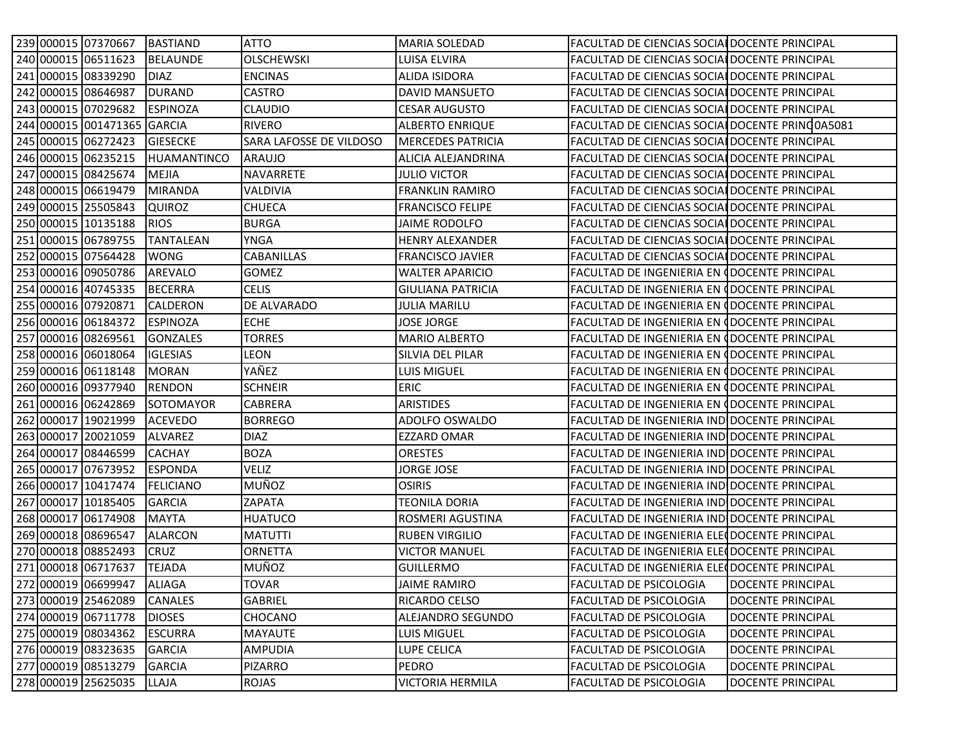|  | 239 000015 07370667 BASTIAND |                    | ATTO                    | <b>MARIA SOLEDAD</b>     | FACULTAD DE CIENCIAS SOCIAL DOCENTE PRINCIPAL        |                          |
|--|------------------------------|--------------------|-------------------------|--------------------------|------------------------------------------------------|--------------------------|
|  | 240 000015 06511623          | <b>BELAUNDE</b>    | <b>OLSCHEWSKI</b>       | <b>LUISA ELVIRA</b>      | FACULTAD DE CIENCIAS SOCIAL DOCENTE PRINCIPAL        |                          |
|  | 241 000015 08339290          | <b>DIAZ</b>        | <b>ENCINAS</b>          | <b>ALIDA ISIDORA</b>     | <b>FACULTAD DE CIENCIAS SOCIAL DOCENTE PRINCIPAL</b> |                          |
|  | 242 000015 08646987          | <b>DURAND</b>      | <b>CASTRO</b>           | <b>DAVID MANSUETO</b>    | <b>FACULTAD DE CIENCIAS SOCIAL DOCENTE PRINCIPAL</b> |                          |
|  | 243 000015 07029682          | <b>ESPINOZA</b>    | <b>CLAUDIO</b>          | <b>CESAR AUGUSTO</b>     | FACULTAD DE CIENCIAS SOCIAL DOCENTE PRINCIPAL        |                          |
|  | 244 000015 001471365 GARCIA  |                    | <b>RIVERO</b>           | <b>ALBERTO ENRIQUE</b>   | FACULTAD DE CIENCIAS SOCIAL DOCENTE PRINC 0A5081     |                          |
|  | 245 000015 06272423          | <b>GIESECKE</b>    | SARA LAFOSSE DE VILDOSO | <b>MERCEDES PATRICIA</b> | FACULTAD DE CIENCIAS SOCIAL DOCENTE PRINCIPAL        |                          |
|  | 246 000015 06235215          | <b>HUAMANTINCO</b> | <b>ARAUJO</b>           | ALICIA ALEJANDRINA       | FACULTAD DE CIENCIAS SOCIAL DOCENTE PRINCIPAL        |                          |
|  | 247 000015 08425674          | <b>MEJIA</b>       | <b>NAVARRETE</b>        | <b>JULIO VICTOR</b>      | FACULTAD DE CIENCIAS SOCIAL DOCENTE PRINCIPAL        |                          |
|  | 248 000015 06619479          | <b>MIRANDA</b>     | VALDIVIA                | <b>FRANKLIN RAMIRO</b>   | FACULTAD DE CIENCIAS SOCIAI DOCENTE PRINCIPAL        |                          |
|  | 249 000015 25505843          | <b>QUIROZ</b>      | <b>CHUECA</b>           | <b>FRANCISCO FELIPE</b>  | FACULTAD DE CIENCIAS SOCIAL DOCENTE PRINCIPAL        |                          |
|  | 250 000015 10135188          | <b>RIOS</b>        | <b>BURGA</b>            | JAIME RODOLFO            | FACULTAD DE CIENCIAS SOCIAL DOCENTE PRINCIPAL        |                          |
|  | 251 000015 06789755          | <b>TANTALEAN</b>   | YNGA                    | <b>HENRY ALEXANDER</b>   | FACULTAD DE CIENCIAS SOCIAL DOCENTE PRINCIPAL        |                          |
|  | 252 000015 07564428          | <b>WONG</b>        | CABANILLAS              | <b>FRANCISCO JAVIER</b>  | FACULTAD DE CIENCIAS SOCIAL DOCENTE PRINCIPAL        |                          |
|  | 253 000016 09050786          | <b>AREVALO</b>     | <b>GOMEZ</b>            | <b>WALTER APARICIO</b>   | FACULTAD DE INGENIERIA EN COOCENTE PRINCIPAL         |                          |
|  | 254 000016 40745335          | <b>BECERRA</b>     | <b>CELIS</b>            | <b>GIULIANA PATRICIA</b> | FACULTAD DE INGENIERIA EN (DOCENTE PRINCIPAL         |                          |
|  | 255 000016 07920871          | <b>CALDERON</b>    | <b>DE ALVARADO</b>      | <b>JULIA MARILU</b>      | FACULTAD DE INGENIERIA EN COOCENTE PRINCIPAL         |                          |
|  | 256 000016 06184372          | <b>ESPINOZA</b>    | <b>ECHE</b>             | JOSE JORGE               | FACULTAD DE INGENIERIA EN CDOCENTE PRINCIPAL         |                          |
|  | 257 000016 08269561          | <b>GONZALES</b>    | <b>TORRES</b>           | <b>MARIO ALBERTO</b>     | FACULTAD DE INGENIERIA EN CDOCENTE PRINCIPAL         |                          |
|  | 258 000016 06018064          | <b>IGLESIAS</b>    | <b>LEON</b>             | SILVIA DEL PILAR         | FACULTAD DE INGENIERIA EN (DOCENTE PRINCIPAL         |                          |
|  | 259 000016 06118148          | <b>MORAN</b>       | YAÑEZ                   | LUIS MIGUEL              | FACULTAD DE INGENIERIA EN CDOCENTE PRINCIPAL         |                          |
|  | 260 000016 09377940          | <b>RENDON</b>      | <b>SCHNEIR</b>          | <b>ERIC</b>              | FACULTAD DE INGENIERIA EN CDOCENTE PRINCIPAL         |                          |
|  | 261 000016 06242869          | <b>SOTOMAYOR</b>   | <b>CABRERA</b>          | <b>ARISTIDES</b>         | FACULTAD DE INGENIERIA EN CDOCENTE PRINCIPAL         |                          |
|  | 262 000017 19021999          | <b>ACEVEDO</b>     | <b>BORREGO</b>          | ADOLFO OSWALDO           | FACULTAD DE INGENIERIA IND DOCENTE PRINCIPAL         |                          |
|  | 263 000017 20021059          | <b>ALVAREZ</b>     | <b>DIAZ</b>             | <b>EZZARD OMAR</b>       | FACULTAD DE INGENIERIA INDI DOCENTE PRINCIPAL        |                          |
|  | 264 000017 08446599          | <b>CACHAY</b>      | <b>BOZA</b>             | <b>ORESTES</b>           | FACULTAD DE INGENIERIA INDI DOCENTE PRINCIPAL        |                          |
|  | 265 000017 07673952          | <b>ESPONDA</b>     | <b>VELIZ</b>            | <b>JORGE JOSE</b>        | FACULTAD DE INGENIERIA INDIDOCENTE PRINCIPAL         |                          |
|  | 266 000017 10417474          | <b>FELICIANO</b>   | MUÑOZ                   | <b>OSIRIS</b>            | FACULTAD DE INGENIERIA INDI DOCENTE PRINCIPAL        |                          |
|  | 267 000017 10185405          | <b>GARCIA</b>      | <b>ZAPATA</b>           | <b>TEONILA DORIA</b>     | FACULTAD DE INGENIERIA IND DOCENTE PRINCIPAL         |                          |
|  | 268 000017 06174908          | <b>MAYTA</b>       | <b>HUATUCO</b>          | ROSMERI AGUSTINA         | FACULTAD DE INGENIERIA INDI DOCENTE PRINCIPAL        |                          |
|  | 269 000018 08696547          | <b>ALARCON</b>     | <b>MATUTTI</b>          | <b>RUBEN VIRGILIO</b>    | FACULTAD DE INGENIERIA ELECOOCENTE PRINCIPAL         |                          |
|  | 270 000018 08852493          | <b>CRUZ</b>        | <b>ORNETTA</b>          | <b>VICTOR MANUEL</b>     | FACULTAD DE INGENIERIA ELE DOCENTE PRINCIPAL         |                          |
|  | 271 000018 06717637          | <b>TEJADA</b>      | MUÑOZ                   | <b>GUILLERMO</b>         | FACULTAD DE INGENIERIA ELECOOCENTE PRINCIPAL         |                          |
|  | 272 000019 06699947 ALIAGA   |                    | <b>TOVAR</b>            | JAIME RAMIRO             | FACULTAD DE PSICOLOGIA   DOCENTE PRINCIPAL           |                          |
|  | 273 000019 25462089          | <b>CANALES</b>     | <b>GABRIEL</b>          | RICARDO CELSO            | <b>FACULTAD DE PSICOLOGIA</b>                        | <b>DOCENTE PRINCIPAL</b> |
|  | 274 000019 06711778          | <b>DIOSES</b>      | <b>CHOCANO</b>          | <b>ALEJANDRO SEGUNDO</b> | FACULTAD DE PSICOLOGIA                               | <b>DOCENTE PRINCIPAL</b> |
|  | 275 000019 08034362          | <b>ESCURRA</b>     | <b>MAYAUTE</b>          | LUIS MIGUEL              | <b>FACULTAD DE PSICOLOGIA</b>                        | DOCENTE PRINCIPAL        |
|  | 276 000019 08323635          | <b>GARCIA</b>      | AMPUDIA                 | LUPE CELICA              | FACULTAD DE PSICOLOGIA                               | <b>DOCENTE PRINCIPAL</b> |
|  | 277 000019 08513279          | <b>GARCIA</b>      | <b>PIZARRO</b>          | <b>PEDRO</b>             | FACULTAD DE PSICOLOGIA                               | DOCENTE PRINCIPAL        |
|  | 278 000019 25625035          | LLAJA              | ROJAS                   | <b>VICTORIA HERMILA</b>  | FACULTAD DE PSICOLOGIA                               | <b>DOCENTE PRINCIPAL</b> |